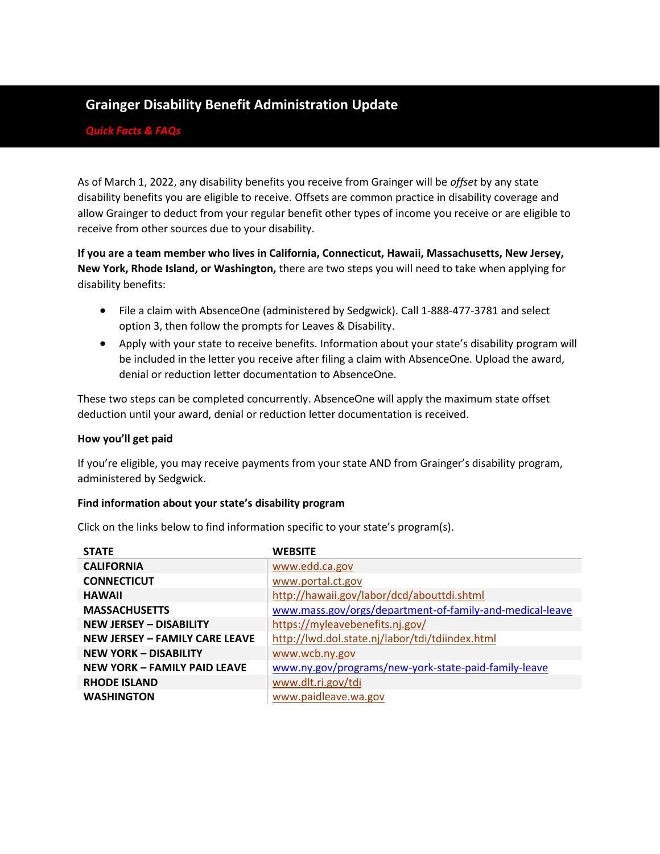# **Grainger Disability Benefit Administration Update**

# *Quick Facts & FAQs*

As of March 1, 2022, any disability benefits you receive from Grainger will be *offset* by any state disability benefits you are eligible to receive. Offsets are common practice in disability coverage and allow Grainger to deduct from your regular benefit other types of income you receive or are eligible to receive from other sources due to your disability.

**If you are a team member who lives in California, Connecticut, Hawaii, Massachusetts, New Jersey, New York, Rhode Island, or Washington,** there are two steps you will need to take when applying for disability benefits:

- File a claim with AbsenceOne (administered by Sedgwick). Call 1-888-477-3781 and select option 3, then follow the prompts for Leaves & Disability.
- Apply with your state to receive benefits. Information about your state's disability program will be included in the letter you receive after filing a claim with AbsenceOne. Upload the award, denial or reduction letter documentation to AbsenceOne.

These two steps can be completed concurrently. AbsenceOne will apply the maximum state offset deduction until your award, denial or reduction letter documentation is received.

## **How you'll get paid**

If you're eligible, you may receive payments from your state AND from Grainger's disability program, administered by Sedgwick.

## **Find information about your state's disability program**

Click on the links below to find information specific to your state's program(s).

| <b>STATE</b>                          | <b>WEBSITE</b>                                           |
|---------------------------------------|----------------------------------------------------------|
| <b>CALIFORNIA</b>                     | www.edd.ca.gov                                           |
| <b>CONNECTICUT</b>                    | www.portal.ct.gov                                        |
| <b>HAWAII</b>                         | http://hawaii.gov/labor/dcd/abouttdi.shtml               |
| <b>MASSACHUSETTS</b>                  | www.mass.gov/orgs/department-of-family-and-medical-leave |
| <b>NEW JERSEY - DISABILITY</b>        | https://myleavebenefits.nj.gov/                          |
| <b>NEW JERSEY - FAMILY CARE LEAVE</b> | http://lwd.dol.state.nj/labor/tdi/tdiindex.html          |
| <b>NEW YORK - DISABILITY</b>          | www.wcb.ny.gov                                           |
| <b>NEW YORK - FAMILY PAID LEAVE</b>   | www.ny.gov/programs/new-york-state-paid-family-leave     |
| <b>RHODE ISLAND</b>                   | www.dlt.ri.gov/tdi                                       |
| <b>WASHINGTON</b>                     | www.paidleave.wa.gov                                     |